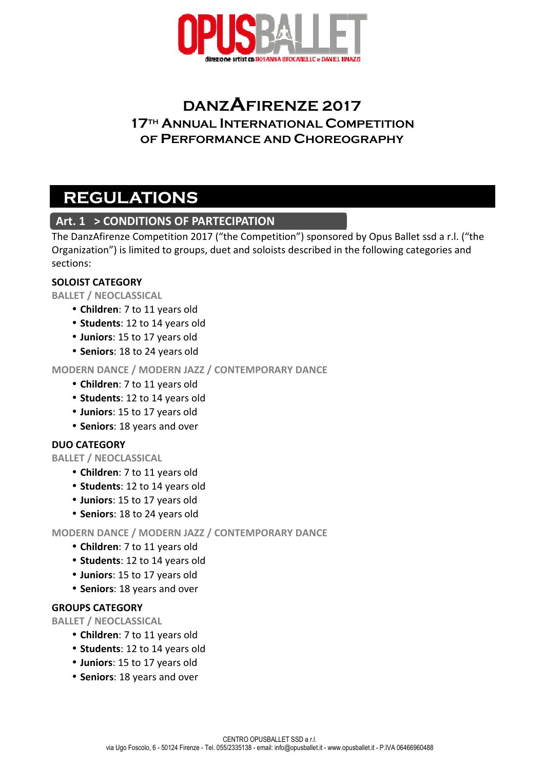

# **DANZAFIRENZE 2017 17TH ANNUAL INTERNATIONAL COMPETITION OF PERFORMANCE AND CHOREOGRAPHY**

# **REGULATIONS**

# **Art. 1 > CONDITIONS OF PARTECIPATION**

The DanzAfirenze Competition 2017 ("the Competition") sponsored by Opus Ballet ssd a r.l. ("the Organization") is limited to groups, duet and soloists described in the following categories and sections:

#### **SOLOIST CATEGORY**

**BALLET / NEOCLASSICAL**

- • **Children**: 7 to 11 years old
- **Students**: 12 to 14 years old
- **Juniors**: 15 to 17 years old
- **Seniors**: 18 to 24 years old

#### **MODERN DANCE / MODERN JAZZ / CONTEMPORARY DANCE**

- • **Children**: 7 to 11 years old
- **Students**: 12 to 14 years old
- **Juniors**: 15 to 17 years old
- **Seniors**: 18 years and over

#### **DUO CATEGORY**

**BALLET / NEOCLASSICAL**

- • **Children**: 7 to 11 years old
- **Students**: 12 to 14 years old
- **Juniors**: 15 to 17 years old
- **Seniors**: 18 to 24 years old

#### **MODERN DANCE / MODERN JAZZ / CONTEMPORARY DANCE**

- • **Children**: 7 to 11 years old
- **Students**: 12 to 14 years old
- **Juniors**: 15 to 17 years old
- **Seniors**: 18 years and over

#### **GROUPS CATEGORY**

**BALLET / NEOCLASSICAL**

- • **Children**: 7 to 11 years old
- **Students**: 12 to 14 years old
- **Juniors**: 15 to 17 years old
- **Seniors**: 18 years and over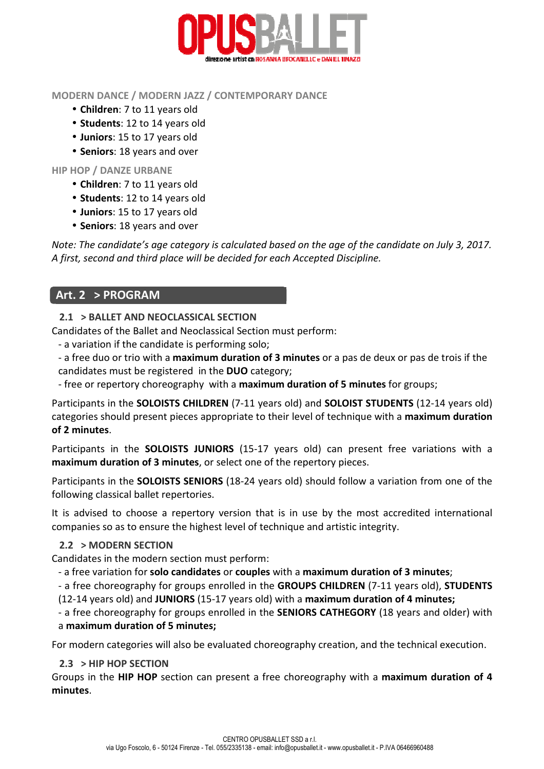

#### **MODERN DANCE / MODERN JAZZ / CONTEMPORARY DANCE**

- • **Children**: 7 to 11 years old
- **Students**: 12 to 14 years old
- **Juniors**: 15 to 17 years old
- **Seniors**: 18 years and over

#### **HIP HOP / DANZE URBANE**

- • **Children**: 7 to 11 years old
- **Students**: 12 to 14 years old
- **Juniors**: 15 to 17 years old
- **Seniors**: 18 years and over

*Note: The candidate's age category is calculated based on the age of the candidate on July 3, 2017. A first, second and third place will be decided for each Accepted Discipline.* 

## **Art. 2 > PROGRAM**

#### **2.1 > BALLET AND NEOCLASSICAL SECTION**

Candidates of the Ballet and Neoclassical Section must perform:

- a variation if the candidate is performing solo;

- a free duo or trio with a **maximum duration of 3 minutes** or a pas de deux or pas de trois if the candidates must be registered in the **DUO** category;

- free or repertory choreography with a **maximum duration of 5 minutes** for groups;

Participants in the **SOLOISTS CHILDREN** (7-11 years old) and **SOLOIST STUDENTS** (12-14 years old) categories should present pieces appropriate to their level of technique with a **maximum duration of 2 minutes**.

Participants in the **SOLOISTS JUNIORS** (15-17 years old) can present free variations with a **maximum duration of 3 minutes**, or select one of the repertory pieces.

Participants in the **SOLOISTS SENIORS** (18-24 years old) should follow a variation from one of the following classical ballet repertories.

It is advised to choose a repertory version that is in use by the most accredited international companies so as to ensure the highest level of technique and artistic integrity.

### **2.2 > MODERN SECTION**

Candidates in the modern section must perform:

- a free variation for **solo candidates** or **couples** with a **maximum duration of 3 minutes**;

- a free choreography for groups enrolled in the **GROUPS CHILDREN** (7-11 years old), **STUDENTS**

(12-14 years old) and **JUNIORS** (15-17 years old) with a **maximum duration of 4 minutes;**

- a free choreography for groups enrolled in the **SENIORS CATHEGORY** (18 years and older) with a **maximum duration of 5 minutes;** 

For modern categories will also be evaluated choreography creation, and the technical execution.

### **2.3 > HIP HOP SECTION**

Groups in the **HIP HOP** section can present a free choreography with a **maximum duration of 4 minutes**.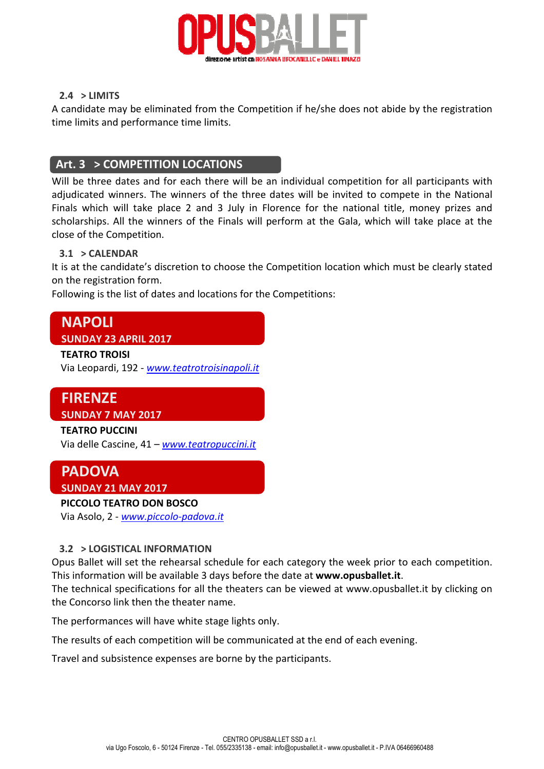

#### **2.4 > LIMITS**

A candidate may be eliminated from the Competition if he/she does not abide by the registration time limits and performance time limits.

### **Art. 3 > COMPETITION LOCATIONS**

Will be three dates and for each there will be an individual competition for all participants with adjudicated winners. The winners of the three dates will be invited to compete in the National Finals which will take place 2 and 3 July in Florence for the national title, money prizes and scholarships. All the winners of the Finals will perform at the Gala, which will take place at the close of the Competition.

#### **3.1 > CALENDAR**

It is at the candidate's discretion to choose the Competition location which must be clearly stated on the registration form.

Following is the list of dates and locations for the Competitions:

# **NAPOLI SUNDAY 23 APRIL 2017**

#### **TEATRO TROISI**

Via Leopardi, 192 - *www.teatrotroisinapoli.it*

# **FIRENZE SUNDAY 7 MAY 2017**

### **TEATRO PUCCINI**  Via delle Cascine, 41 – *www.teatropuccini.it*

# **PADOVA SUNDAY 21 MAY 2017**

#### **PICCOLO TEATRO DON BOSCO**

Via Asolo, 2 - *www.piccolo-padova.it*

#### **3.2 > LOGISTICAL INFORMATION**

Opus Ballet will set the rehearsal schedule for each category the week prior to each competition. This information will be available 3 days before the date at **www.opusballet.it**.

The technical specifications for all the theaters can be viewed at www.opusballet.it by clicking on the Concorso link then the theater name.

The performances will have white stage lights only.

The results of each competition will be communicated at the end of each evening.

Travel and subsistence expenses are borne by the participants.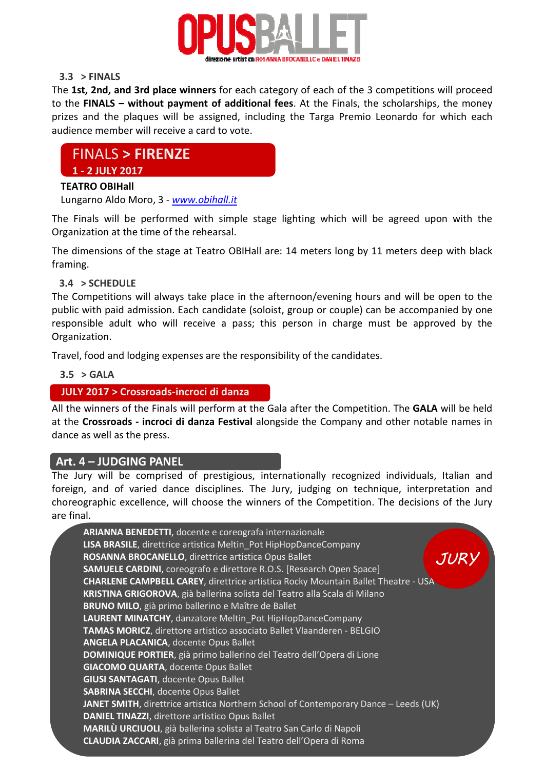

#### **3.3 > FINALS**

The **1st, 2nd, and 3rd place winners** for each category of each of the 3 competitions will proceed to the **FINALS – without payment of additional fees**. At the Finals, the scholarships, the money prizes and the plaques will be assigned, including the Targa Premio Leonardo for which each audience member will receive a card to vote.

# FINALS **> FIRENZE**

#### **1 - 2 JULY 2017**

#### **TEATRO OBIHall**

Lungarno Aldo Moro, 3 - *www.obihall.it*

The Finals will be performed with simple stage lighting which will be agreed upon with the Organization at the time of the rehearsal.

The dimensions of the stage at Teatro OBIHall are: 14 meters long by 11 meters deep with black framing.

#### **3.4 > SCHEDULE**

The Competitions will always take place in the afternoon/evening hours and will be open to the public with paid admission. Each candidate (soloist, group or couple) can be accompanied by one responsible adult who will receive a pass; this person in charge must be approved by the Organization.

Travel, food and lodging expenses are the responsibility of the candidates.

#### **3.5 > GALA**

#### **JULY 2017 > Crossroads-incroci di danza**

All the winners of the Finals will perform at the Gala after the Competition. The **GALA** will be held at the **Crossroads - incroci di danza Festival** alongside the Company and other notable names in dance as well as the press.

#### **Art. 4 – JUDGING PANEL**

The Jury will be comprised of prestigious, internationally recognized individuals, Italian and foreign, and of varied dance disciplines. The Jury, judging on technique, interpretation and choreographic excellence, will choose the winners of the Competition. The decisions of the Jury are final.

| ARIANNA BENEDETTI, docente e coreografa internazionale                                    |
|-------------------------------------------------------------------------------------------|
| LISA BRASILE, direttrice artistica Meltin Pot HipHopDanceCompany                          |
| ROSANNA BROCANELLO, direttrice artistica Opus Ballet<br>JUR                               |
| <b>SAMUELE CARDINI, coreografo e direttore R.O.S. [Research Open Space]</b>               |
| <b>CHARLENE CAMPBELL CAREY</b> , direttrice artistica Rocky Mountain Ballet Theatre - USA |
| KRISTINA GRIGOROVA, già ballerina solista del Teatro alla Scala di Milano                 |
| BRUNO MILO, già primo ballerino e Maître de Ballet                                        |
| LAURENT MINATCHY, danzatore Meltin_Pot HipHopDanceCompany                                 |
| TAMAS MORICZ, direttore artistico associato Ballet Vlaanderen - BELGIO                    |
| <b>ANGELA PLACANICA, docente Opus Ballet</b>                                              |
| DOMINIQUE PORTIER, già primo ballerino del Teatro dell'Opera di Lione                     |
| <b>GIACOMO QUARTA, docente Opus Ballet</b>                                                |
| <b>GIUSI SANTAGATI, docente Opus Ballet</b>                                               |
| <b>SABRINA SECCHI, docente Opus Ballet</b>                                                |
| JANET SMITH, direttrice artistica Northern School of Contemporary Dance - Leeds (UK)      |
| <b>DANIEL TINAZZI, direttore artistico Opus Ballet</b>                                    |
| MARILÙ URCIUOLI, già ballerina solista al Teatro San Carlo di Napoli                      |
| <b>CLAUDIA ZACCARI</b> , già prima ballerina del Teatro dell'Opera di Roma                |
|                                                                                           |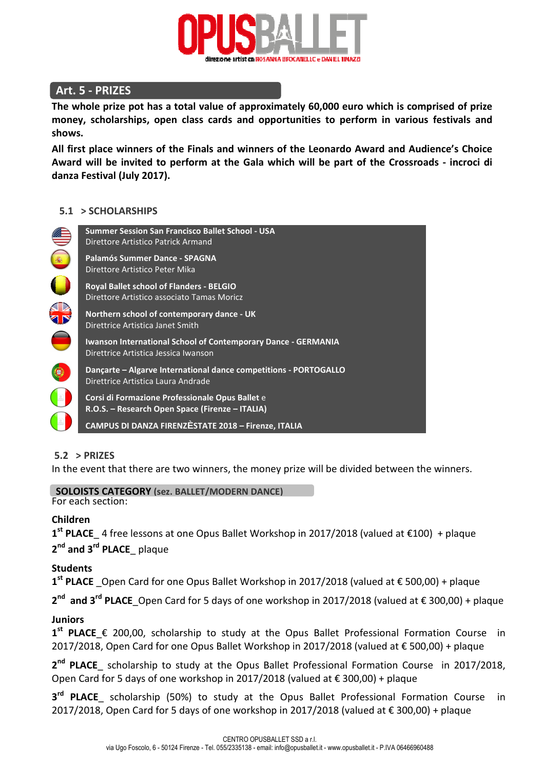

# **Art. 5 - PRIZES**

**The whole prize pot has a total value of approximately 60,000 euro which is comprised of prize money, scholarships, open class cards and opportunities to perform in various festivals and shows.** 

**All first place winners of the Finals and winners of the Leonardo Award and Audience's Choice Award will be invited to perform at the Gala which will be part of the Crossroads - incroci di danza Festival (July 2017).** 

#### **5.1 > SCHOLARSHIPS**



#### **5.2 > PRIZES**

In the event that there are two winners, the money prize will be divided between the winners.

For each section: **SOLOISTS CATEGORY (sez. BALLET/MODERN DANCE)**

#### **Children**

**1 st PLACE**\_ 4 free lessons at one Opus Ballet Workshop in 2017/2018 (valued at €100) + plaque **2 nd and 3rd PLACE**\_ plaque

#### **Students**

**1 st PLACE** \_Open Card for one Opus Ballet Workshop in 2017/2018 (valued at € 500,00) + plaque

**2 nd and 3rd PLACE**\_Open Card for 5 days of one workshop in 2017/2018 (valued at € 300,00) + plaque

#### **Juniors**

**1 st PLACE**\_€ 200,00, scholarship to study at the Opus Ballet Professional Formation Course in 2017/2018, Open Card for one Opus Ballet Workshop in 2017/2018 (valued at € 500,00) + plaque

**2 nd PLACE**\_ scholarship to study at the Opus Ballet Professional Formation Course in 2017/2018, Open Card for 5 days of one workshop in 2017/2018 (valued at € 300,00) + plaque

**3 rd PLACE**\_ scholarship (50%) to study at the Opus Ballet Professional Formation Course in 2017/2018, Open Card for 5 days of one workshop in 2017/2018 (valued at  $\epsilon$  300,00) + plaque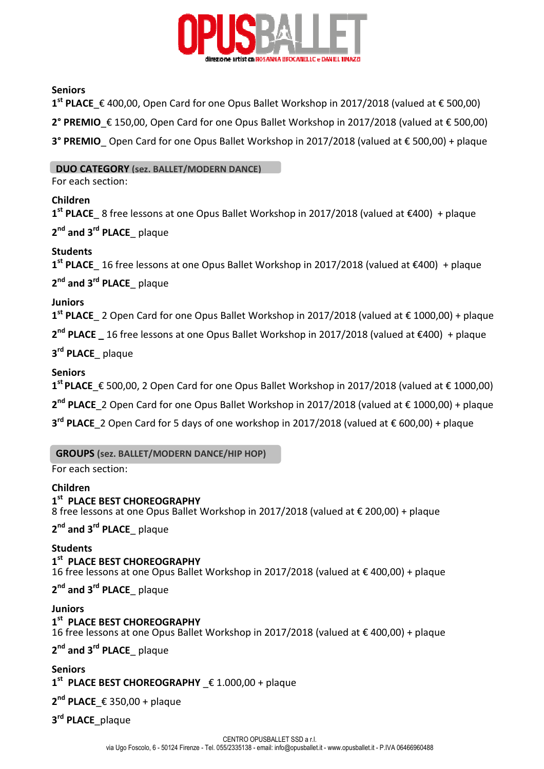

#### **Seniors**

**1 st PLACE**\_€ 400,00, Open Card for one Opus Ballet Workshop in 2017/2018 (valued at € 500,00) **2° PREMIO**\_€ 150,00, Open Card for one Opus Ballet Workshop in 2017/2018 (valued at € 500,00)

**3° PREMIO** Open Card for one Opus Ballet Workshop in 2017/2018 (valued at € 500,00) + plaque

**DUO CATEGORY (sez. BALLET/MODERN DANCE)**

For each section:

#### **Children**

**1 st PLACE**\_ 8 free lessons at one Opus Ballet Workshop in 2017/2018 (valued at €400) + plaque

**2 nd and 3rd PLACE**\_ plaque

#### **Students**

**1 st PLACE**\_ 16 free lessons at one Opus Ballet Workshop in 2017/2018 (valued at €400) + plaque **2 nd and 3rd PLACE**\_ plaque

**Juniors** 

**1 st PLACE**\_ 2 Open Card for one Opus Ballet Workshop in 2017/2018 (valued at € 1000,00) + plaque

**2 nd PLACE \_** 16 free lessons at one Opus Ballet Workshop in 2017/2018 (valued at €400) + plaque

**3 rd PLACE**\_ plaque

#### **Seniors**

**1 st PLACE**\_€ 500,00, 2 Open Card for one Opus Ballet Workshop in 2017/2018 (valued at € 1000,00)

2<sup>nd</sup> PLACE\_2 Open Card for one Opus Ballet Workshop in 2017/2018 (valued at € 1000,00) + plaque

**3 rd PLACE**\_2 Open Card for 5 days of one workshop in 2017/2018 (valued at € 600,00) + plaque

**GROUPS (sez. BALLET/MODERN DANCE/HIP HOP)** 

For each section:

#### **Children**

#### **1 st PLACE BEST CHOREOGRAPHY**

8 free lessons at one Opus Ballet Workshop in 2017/2018 (valued at € 200,00) + plaque

**2 nd and 3rd PLACE**\_ plaque

#### **Students**

#### **1 st PLACE BEST CHOREOGRAPHY**

16 free lessons at one Opus Ballet Workshop in 2017/2018 (valued at € 400,00) + plaque

**2 nd and 3rd PLACE**\_ plaque

#### **Juniors**

#### **1 st PLACE BEST CHOREOGRAPHY**

16 free lessons at one Opus Ballet Workshop in 2017/2018 (valued at € 400,00) + plaque

**2 nd and 3rd PLACE**\_ plaque

#### **Seniors**

**1 st PLACE BEST CHOREOGRAPHY** \_€ 1.000,00 + plaque

**2 nd PLACE**\_€ 350,00 + plaque

**3 rd PLACE**\_plaque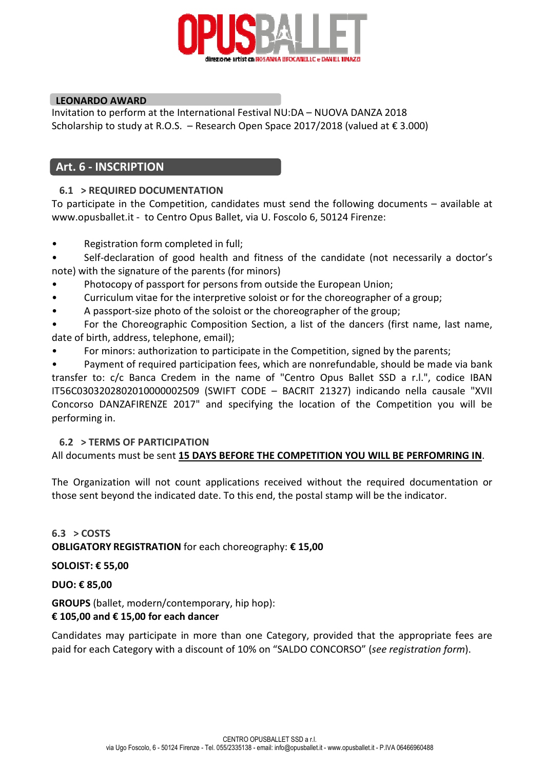

#### **LEONARDO AWARD**

Invitation to perform at the International Festival NU:DA – NUOVA DANZA 2018 Scholarship to study at R.O.S. – Research Open Space 2017/2018 (valued at € 3.000)

#### **Art. 6 - INSCRIPTION**

#### **6.1 > REQUIRED DOCUMENTATION**

To participate in the Competition, candidates must send the following documents – available at www.opusballet.it - to Centro Opus Ballet, via U. Foscolo 6, 50124 Firenze:

- Registration form completed in full;
- Self-declaration of good health and fitness of the candidate (not necessarily a doctor's note) with the signature of the parents (for minors)
- Photocopy of passport for persons from outside the European Union;
- Curriculum vitae for the interpretive soloist or for the choreographer of a group;
- A passport-size photo of the soloist or the choreographer of the group;

• For the Choreographic Composition Section, a list of the dancers (first name, last name, date of birth, address, telephone, email);

• For minors: authorization to participate in the Competition, signed by the parents;

• Payment of required participation fees, which are nonrefundable, should be made via bank transfer to: c/c Banca Credem in the name of "Centro Opus Ballet SSD a r.l.", codice IBAN IT56C0303202802010000002509 (SWIFT CODE – BACRIT 21327) indicando nella causale "XVII Concorso DANZAFIRENZE 2017" and specifying the location of the Competition you will be performing in.

#### **6.2 > TERMS OF PARTICIPATION**

All documents must be sent **15 DAYS BEFORE THE COMPETITION YOU WILL BE PERFOMRING IN**.

The Organization will not count applications received without the required documentation or those sent beyond the indicated date. To this end, the postal stamp will be the indicator.

**6.3 > COSTS OBLIGATORY REGISTRATION** for each choreography: **€ 15,00**

**SOLOIST: € 55,00** 

**DUO: € 85,00** 

**GROUPS** (ballet, modern/contemporary, hip hop):

#### **€ 105,00 and € 15,00 for each dancer**

Candidates may participate in more than one Category, provided that the appropriate fees are paid for each Category with a discount of 10% on "SALDO CONCORSO" (*see registration form*).